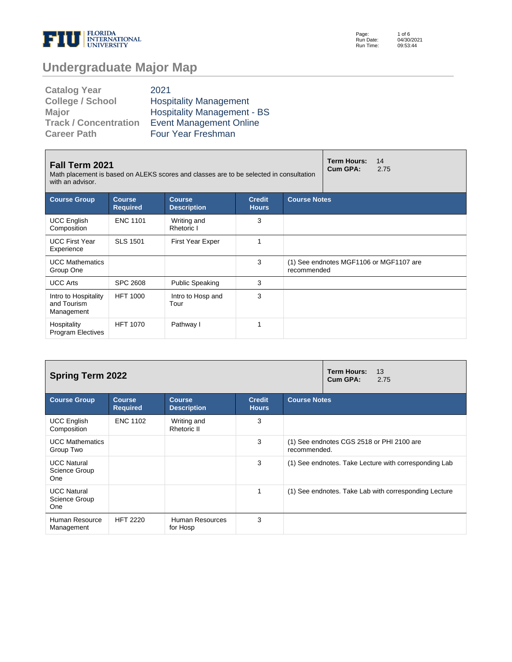

Page: Run Date: Run Time: 1 of 6 04/30/2021 09:53:44

# **Undergraduate Major Map**

| <b>Catalog Year</b>          | 2021                               |
|------------------------------|------------------------------------|
| <b>College / School</b>      | <b>Hospitality Management</b>      |
| <b>Major</b>                 | <b>Hospitality Management - BS</b> |
| <b>Track / Concentration</b> | <b>Event Management Online</b>     |
| <b>Career Path</b>           | Four Year Freshman                 |

| <b>Fall Term 2021</b><br>Math placement is based on ALEKS scores and classes are to be selected in consultation<br>with an advisor. |                                  | <b>Term Hours:</b><br>14<br>Cum GPA:<br>2.75 |                               |                     |                                         |  |  |
|-------------------------------------------------------------------------------------------------------------------------------------|----------------------------------|----------------------------------------------|-------------------------------|---------------------|-----------------------------------------|--|--|
| <b>Course Group</b>                                                                                                                 | <b>Course</b><br><b>Required</b> | <b>Course</b><br><b>Description</b>          | <b>Credit</b><br><b>Hours</b> | <b>Course Notes</b> |                                         |  |  |
| <b>UCC English</b><br>Composition                                                                                                   | <b>ENC 1101</b>                  | Writing and<br>Rhetoric I                    | 3                             |                     |                                         |  |  |
| <b>UCC First Year</b><br>Experience                                                                                                 | <b>SLS 1501</b>                  | <b>First Year Exper</b>                      | 1                             |                     |                                         |  |  |
| <b>UCC Mathematics</b><br>Group One                                                                                                 |                                  |                                              | 3                             | recommended         | (1) See endnotes MGF1106 or MGF1107 are |  |  |
| <b>UCC Arts</b>                                                                                                                     | <b>SPC 2608</b>                  | <b>Public Speaking</b>                       | 3                             |                     |                                         |  |  |
| Intro to Hospitality<br>and Tourism<br>Management                                                                                   | <b>HFT 1000</b>                  | Intro to Hosp and<br>Tour                    | 3                             |                     |                                         |  |  |
| Hospitality<br><b>Program Electives</b>                                                                                             | <b>HFT 1070</b>                  | Pathway I                                    |                               |                     |                                         |  |  |

| <b>Spring Term 2022</b>                    |                                  | <b>Term Hours:</b><br>13<br>Cum GPA:<br>2.75 |                               |                                                           |  |  |  |
|--------------------------------------------|----------------------------------|----------------------------------------------|-------------------------------|-----------------------------------------------------------|--|--|--|
| <b>Course Group</b>                        | <b>Course</b><br><b>Required</b> | <b>Course</b><br><b>Description</b>          | <b>Credit</b><br><b>Hours</b> | <b>Course Notes</b>                                       |  |  |  |
| <b>UCC English</b><br>Composition          | <b>ENC 1102</b>                  | Writing and<br>Rhetoric II                   | 3                             |                                                           |  |  |  |
| <b>UCC Mathematics</b><br>Group Two        |                                  |                                              | 3                             | (1) See endnotes CGS 2518 or PHI 2100 are<br>recommended. |  |  |  |
| <b>UCC Natural</b><br>Science Group<br>One |                                  |                                              | 3                             | (1) See endnotes. Take Lecture with corresponding Lab     |  |  |  |
| <b>UCC Natural</b><br>Science Group<br>One |                                  |                                              |                               | (1) See endnotes. Take Lab with corresponding Lecture     |  |  |  |
| Human Resource<br>Management               | <b>HFT 2220</b>                  | Human Resources<br>for Hosp                  | 3                             |                                                           |  |  |  |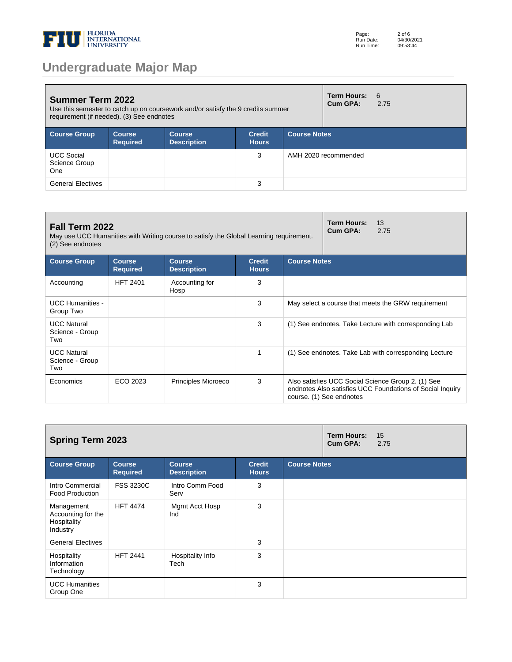

| <b>Summer Term 2022</b><br>Use this semester to catch up on coursework and/or satisfy the 9 credits summer<br>requirement (if needed). (3) See endnotes |                                  |                                     |                               |                     |                      | -6<br>2.75 |
|---------------------------------------------------------------------------------------------------------------------------------------------------------|----------------------------------|-------------------------------------|-------------------------------|---------------------|----------------------|------------|
| <b>Course Group</b>                                                                                                                                     | <b>Course</b><br><b>Required</b> | <b>Course</b><br><b>Description</b> | <b>Credit</b><br><b>Hours</b> | <b>Course Notes</b> |                      |            |
| <b>UCC Social</b><br>Science Group<br><b>One</b>                                                                                                        |                                  |                                     | 3                             |                     | AMH 2020 recommended |            |
| <b>General Electives</b>                                                                                                                                |                                  |                                     | 3                             |                     |                      |            |

| Fall Term 2022<br>May use UCC Humanities with Writing course to satisfy the Global Learning requirement.<br>(2) See endnotes |                                  | <b>Term Hours:</b><br>13<br>Cum GPA:<br>2.75 |                               |                                                       |                                                                                                                                             |  |  |
|------------------------------------------------------------------------------------------------------------------------------|----------------------------------|----------------------------------------------|-------------------------------|-------------------------------------------------------|---------------------------------------------------------------------------------------------------------------------------------------------|--|--|
| <b>Course Group</b>                                                                                                          | <b>Course</b><br><b>Required</b> | <b>Course</b><br><b>Description</b>          | <b>Credit</b><br><b>Hours</b> | <b>Course Notes</b>                                   |                                                                                                                                             |  |  |
| Accounting                                                                                                                   | <b>HFT 2401</b>                  | Accounting for<br>Hosp                       | 3                             |                                                       |                                                                                                                                             |  |  |
| <b>UCC Humanities -</b><br>Group Two                                                                                         |                                  |                                              | 3                             | May select a course that meets the GRW requirement    |                                                                                                                                             |  |  |
| <b>UCC Natural</b><br>Science - Group<br>Two                                                                                 |                                  |                                              | 3                             | (1) See endnotes. Take Lecture with corresponding Lab |                                                                                                                                             |  |  |
| <b>UCC Natural</b><br>Science - Group<br>Two                                                                                 |                                  |                                              | 1                             |                                                       | (1) See endnotes. Take Lab with corresponding Lecture                                                                                       |  |  |
| Economics                                                                                                                    | ECO 2023                         | <b>Principles Microeco</b>                   | 3                             |                                                       | Also satisfies UCC Social Science Group 2. (1) See<br>endnotes Also satisfies UCC Foundations of Social Inquiry<br>course. (1) See endnotes |  |  |

| <b>Spring Term 2023</b>                                     |                                  |                                     |                               |                     | Term Hours:<br>Cum GPA: | 15<br>2.75 |
|-------------------------------------------------------------|----------------------------------|-------------------------------------|-------------------------------|---------------------|-------------------------|------------|
| <b>Course Group</b>                                         | <b>Course</b><br><b>Required</b> | <b>Course</b><br><b>Description</b> | <b>Credit</b><br><b>Hours</b> | <b>Course Notes</b> |                         |            |
| Intro Commercial<br><b>Food Production</b>                  | <b>FSS 3230C</b>                 | Intro Comm Food<br>Serv             | 3                             |                     |                         |            |
| Management<br>Accounting for the<br>Hospitality<br>Industry | <b>HFT 4474</b>                  | Mgmt Acct Hosp<br>Ind               | 3                             |                     |                         |            |
| <b>General Electives</b>                                    |                                  |                                     | 3                             |                     |                         |            |
| Hospitality<br>Information<br>Technology                    | <b>HFT 2441</b>                  | Hospitality Info<br>Tech            | 3                             |                     |                         |            |
| <b>UCC Humanities</b><br>Group One                          |                                  |                                     | 3                             |                     |                         |            |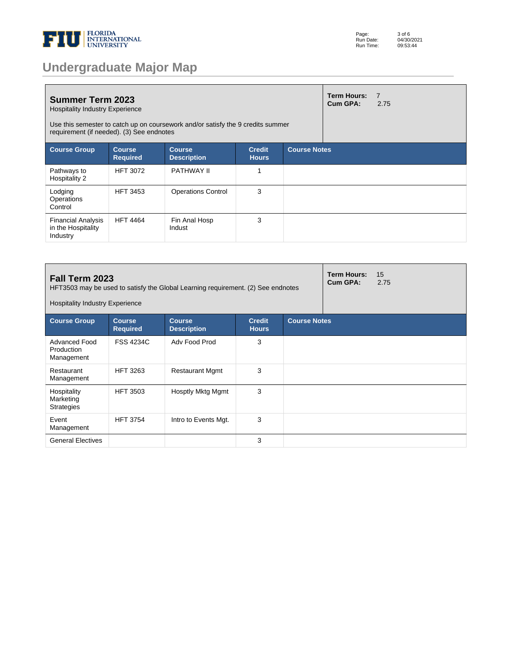

|  |  | <b>Undergraduate Major Map</b> |  |
|--|--|--------------------------------|--|
|  |  |                                |  |

| <b>Summer Term 2023</b><br><b>Hospitality Industry Experience</b><br>Use this semester to catch up on coursework and/or satisfy the 9 credits summer<br>requirement (if needed). (3) See endnotes |                                  |                                     |                               |                     |  | $\overline{7}$<br>2.75 |
|---------------------------------------------------------------------------------------------------------------------------------------------------------------------------------------------------|----------------------------------|-------------------------------------|-------------------------------|---------------------|--|------------------------|
| <b>Course Group</b>                                                                                                                                                                               | <b>Course</b><br><b>Required</b> | <b>Course</b><br><b>Description</b> | <b>Credit</b><br><b>Hours</b> | <b>Course Notes</b> |  |                        |
| Pathways to<br>Hospitality 2                                                                                                                                                                      | <b>HFT 3072</b>                  | PATHWAY II                          | 1                             |                     |  |                        |
| Lodging<br>Operations<br>Control                                                                                                                                                                  | <b>HFT 3453</b>                  | <b>Operations Control</b>           | 3                             |                     |  |                        |
| <b>Financial Analysis</b><br>in the Hospitality<br>Industry                                                                                                                                       | <b>HFT 4464</b>                  | Fin Anal Hosp<br>Indust             | 3                             |                     |  |                        |

| <b>Term Hours:</b><br>Fall Term 2023<br>Cum GPA:<br>HFT3503 may be used to satisfy the Global Learning requirement. (2) See endnotes<br><b>Hospitality Industry Experience</b> |                                  |                                     |                               |                     |  | 15<br>2.75 |  |
|--------------------------------------------------------------------------------------------------------------------------------------------------------------------------------|----------------------------------|-------------------------------------|-------------------------------|---------------------|--|------------|--|
| <b>Course Group</b>                                                                                                                                                            | <b>Course</b><br><b>Required</b> | <b>Course</b><br><b>Description</b> | <b>Credit</b><br><b>Hours</b> | <b>Course Notes</b> |  |            |  |
| Advanced Food<br>Production<br>Management                                                                                                                                      | <b>FSS 4234C</b>                 | Adv Food Prod                       | 3                             |                     |  |            |  |
| Restaurant<br>Management                                                                                                                                                       | <b>HFT 3263</b>                  | <b>Restaurant Mgmt</b>              | 3                             |                     |  |            |  |
| Hospitality<br>Marketing<br><b>Strategies</b>                                                                                                                                  | <b>HFT 3503</b>                  | <b>Hosptly Mktg Mgmt</b>            | 3                             |                     |  |            |  |
| Event<br>Management                                                                                                                                                            | <b>HFT 3754</b>                  | Intro to Events Mgt.                | 3                             |                     |  |            |  |
| <b>General Electives</b>                                                                                                                                                       |                                  |                                     | 3                             |                     |  |            |  |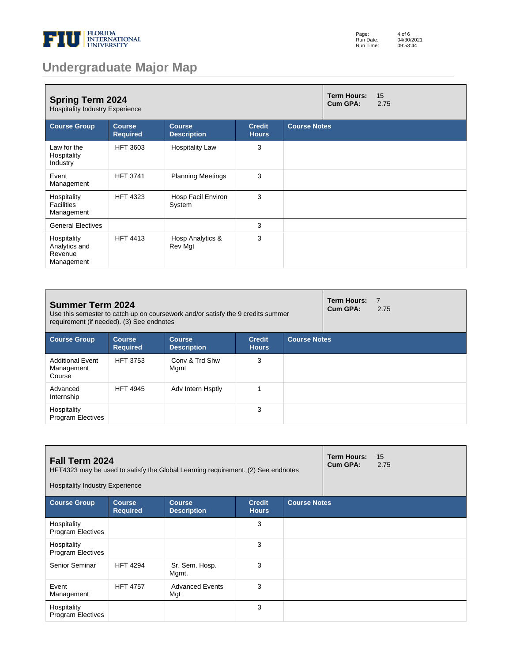

| Page:     | 4 of 6     |
|-----------|------------|
| Run Date: | 04/30/2021 |
| Run Time: | 09:53:44   |

# **Undergraduate Major Map**

| <b>Spring Term 2024</b><br><b>Hospitality Industry Experience</b> |                                  |                                     |                               |                     |  | 15<br>2.75 |
|-------------------------------------------------------------------|----------------------------------|-------------------------------------|-------------------------------|---------------------|--|------------|
| <b>Course Group</b>                                               | <b>Course</b><br><b>Required</b> | <b>Course</b><br><b>Description</b> | <b>Credit</b><br><b>Hours</b> | <b>Course Notes</b> |  |            |
| Law for the<br>Hospitality<br>Industry                            | <b>HFT 3603</b>                  | <b>Hospitality Law</b>              | 3                             |                     |  |            |
| Event<br>Management                                               | <b>HFT 3741</b>                  | <b>Planning Meetings</b>            | 3                             |                     |  |            |
| Hospitality<br><b>Facilities</b><br>Management                    | <b>HFT 4323</b>                  | Hosp Facil Environ<br>System        | 3                             |                     |  |            |
| <b>General Electives</b>                                          |                                  |                                     | 3                             |                     |  |            |
| Hospitality<br>Analytics and<br>Revenue<br>Management             | <b>HFT 4413</b>                  | Hosp Analytics &<br>Rev Mgt         | 3                             |                     |  |            |

| <b>Summer Term 2024</b><br>Use this semester to catch up on coursework and/or satisfy the 9 credits summer<br>requirement (if needed). (3) See endnotes |                                  |                                     |                               |                     |  | $\overline{7}$<br>2.75 |
|---------------------------------------------------------------------------------------------------------------------------------------------------------|----------------------------------|-------------------------------------|-------------------------------|---------------------|--|------------------------|
| <b>Course Group</b>                                                                                                                                     | <b>Course</b><br><b>Required</b> | <b>Course</b><br><b>Description</b> | <b>Credit</b><br><b>Hours</b> | <b>Course Notes</b> |  |                        |
| <b>Additional Event</b><br>Management<br>Course                                                                                                         | <b>HFT 3753</b>                  | Conv & Trd Shw<br>Mgmt              | 3                             |                     |  |                        |
| Advanced<br>Internship                                                                                                                                  | <b>HFT 4945</b>                  | Adv Intern Hsptly                   |                               |                     |  |                        |
| Hospitality<br><b>Program Electives</b>                                                                                                                 |                                  |                                     | 3                             |                     |  |                        |

| Fall Term 2024<br>HFT4323 may be used to satisfy the Global Learning requirement. (2) See endnotes<br><b>Hospitality Industry Experience</b> |                                  |                                     |                               |                     | <b>Term Hours:</b><br>Cum GPA: | 15<br>2.75 |
|----------------------------------------------------------------------------------------------------------------------------------------------|----------------------------------|-------------------------------------|-------------------------------|---------------------|--------------------------------|------------|
| <b>Course Group</b>                                                                                                                          | <b>Course</b><br><b>Required</b> | <b>Course</b><br><b>Description</b> | <b>Credit</b><br><b>Hours</b> | <b>Course Notes</b> |                                |            |
| Hospitality<br><b>Program Electives</b>                                                                                                      |                                  |                                     | 3                             |                     |                                |            |
| Hospitality<br><b>Program Electives</b>                                                                                                      |                                  |                                     | 3                             |                     |                                |            |
| Senior Seminar                                                                                                                               | <b>HFT 4294</b>                  | Sr. Sem. Hosp.<br>Mgmt.             | 3                             |                     |                                |            |
| Event<br>Management                                                                                                                          | <b>HFT 4757</b>                  | <b>Advanced Events</b><br>Mgt       | 3                             |                     |                                |            |
| Hospitality<br><b>Program Electives</b>                                                                                                      |                                  |                                     | 3                             |                     |                                |            |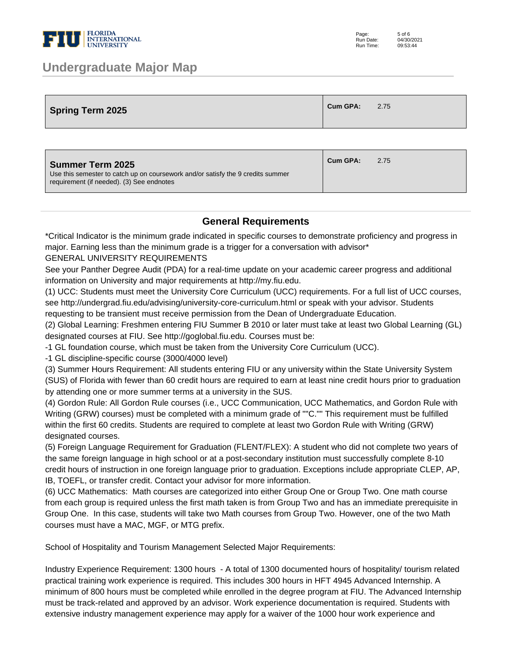

### **Undergraduate Major Map**

| <b>Spring Term 2025</b> | <sup>1</sup> Cum GPA: | 2.75 |
|-------------------------|-----------------------|------|
|                         |                       |      |

| <b>Summer Term 2025</b><br>Use this semester to catch up on coursework and/or satisfy the 9 credits summer<br>requirement (if needed). (3) See endnotes | Cum GPA: | 2.75 |
|---------------------------------------------------------------------------------------------------------------------------------------------------------|----------|------|
|---------------------------------------------------------------------------------------------------------------------------------------------------------|----------|------|

#### **General Requirements**

\*Critical Indicator is the minimum grade indicated in specific courses to demonstrate proficiency and progress in major. Earning less than the minimum grade is a trigger for a conversation with advisor\*

GENERAL UNIVERSITY REQUIREMENTS

See your Panther Degree Audit (PDA) for a real-time update on your academic career progress and additional information on University and major requirements at http://my.fiu.edu.

(1) UCC: Students must meet the University Core Curriculum (UCC) requirements. For a full list of UCC courses, see http://undergrad.fiu.edu/advising/university-core-curriculum.html or speak with your advisor. Students requesting to be transient must receive permission from the Dean of Undergraduate Education.

(2) Global Learning: Freshmen entering FIU Summer B 2010 or later must take at least two Global Learning (GL) designated courses at FIU. See http://goglobal.fiu.edu. Courses must be:

- 1 GL foundation course, which must be taken from the University Core Curriculum (UCC).

- 1 GL discipline-specific course (3000/4000 level)

(3) Summer Hours Requirement: All students entering FIU or any university within the State University System (SUS) of Florida with fewer than 60 credit hours are required to earn at least nine credit hours prior to graduation by attending one or more summer terms at a university in the SUS.

(4) Gordon Rule: All Gordon Rule courses (i.e., UCC Communication, UCC Mathematics, and Gordon Rule with Writing (GRW) courses) must be completed with a minimum grade of ""C."" This requirement must be fulfilled within the first 60 credits. Students are required to complete at least two Gordon Rule with Writing (GRW) designated courses.

(5) Foreign Language Requirement for Graduation (FLENT/FLEX): A student who did not complete two years of the same foreign language in high school or at a post-secondary institution must successfully complete 8-10 credit hours of instruction in one foreign language prior to graduation. Exceptions include appropriate CLEP, AP, IB, TOEFL, or transfer credit. Contact your advisor for more information.

(6) UCC Mathematics: Math courses are categorized into either Group One or Group Two. One math course from each group is required unless the first math taken is from Group Two and has an immediate prerequisite in Group One. In this case, students will take two Math courses from Group Two. However, one of the two Math courses must have a MAC, MGF, or MTG prefix.

School of Hospitality and Tourism Management Selected Major Requirements:

Industry Experience Requirement: 1300 hours - A total of 1300 documented hours of hospitality/ tourism related practical training work experience is required. This includes 300 hours in HFT 4945 Advanced Internship. A minimum of 800 hours must be completed while enrolled in the degree program at FIU. The Advanced Internship must be track-related and approved by an advisor. Work experience documentation is required. Students with extensive industry management experience may apply for a waiver of the 1000 hour work experience and